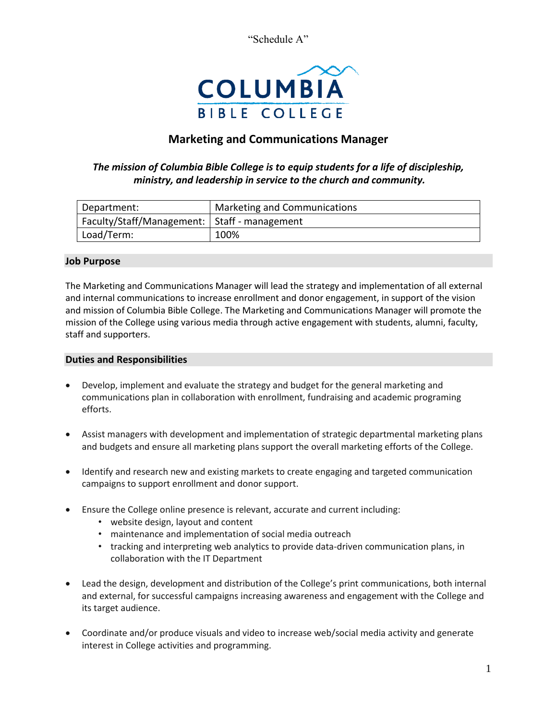"Schedule A"



# **Marketing and Communications Manager**

# *The mission of Columbia Bible College is to equip students for a life of discipleship, ministry, and leadership in service to the church and community.*

| Department:                                    | Marketing and Communications |
|------------------------------------------------|------------------------------|
| Faculty/Staff/Management:   Staff - management |                              |
| Load/Term:                                     | 100%                         |

#### **Job Purpose**

The Marketing and Communications Manager will lead the strategy and implementation of all external and internal communications to increase enrollment and donor engagement, in support of the vision and mission of Columbia Bible College. The Marketing and Communications Manager will promote the mission of the College using various media through active engagement with students, alumni, faculty, staff and supporters.

# **Duties and Responsibilities**

- Develop, implement and evaluate the strategy and budget for the general marketing and communications plan in collaboration with enrollment, fundraising and academic programing efforts.
- Assist managers with development and implementation of strategic departmental marketing plans and budgets and ensure all marketing plans support the overall marketing efforts of the College.
- Identify and research new and existing markets to create engaging and targeted communication campaigns to support enrollment and donor support.
- Ensure the College online presence is relevant, accurate and current including:
	- website design, layout and content
	- maintenance and implementation of social media outreach
	- tracking and interpreting web analytics to provide data-driven communication plans, in collaboration with the IT Department
- Lead the design, development and distribution of the College's print communications, both internal and external, for successful campaigns increasing awareness and engagement with the College and its target audience.
- Coordinate and/or produce visuals and video to increase web/social media activity and generate interest in College activities and programming.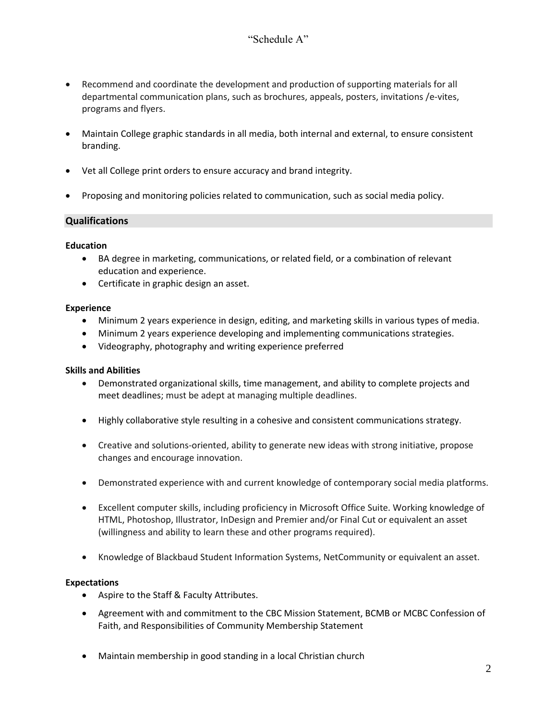- Recommend and coordinate the development and production of supporting materials for all departmental communication plans, such as brochures, appeals, posters, invitations /e-vites, programs and flyers.
- Maintain College graphic standards in all media, both internal and external, to ensure consistent branding.
- Vet all College print orders to ensure accuracy and brand integrity.
- Proposing and monitoring policies related to communication, such as social media policy.

# **Qualifications**

#### **Education**

- BA degree in marketing, communications, or related field, or a combination of relevant education and experience.
- Certificate in graphic design an asset.

#### **Experience**

- Minimum 2 years experience in design, editing, and marketing skills in various types of media.
- Minimum 2 years experience developing and implementing communications strategies.
- Videography, photography and writing experience preferred

#### **Skills and Abilities**

- Demonstrated organizational skills, time management, and ability to complete projects and meet deadlines; must be adept at managing multiple deadlines.
- Highly collaborative style resulting in a cohesive and consistent communications strategy.
- Creative and solutions-oriented, ability to generate new ideas with strong initiative, propose changes and encourage innovation.
- Demonstrated experience with and current knowledge of contemporary social media platforms.
- Excellent computer skills, including proficiency in Microsoft Office Suite. Working knowledge of HTML, Photoshop, Illustrator, InDesign and Premier and/or Final Cut or equivalent an asset (willingness and ability to learn these and other programs required).
- Knowledge of Blackbaud Student Information Systems, NetCommunity or equivalent an asset.

#### **Expectations**

- Aspire to the Staff & Faculty Attributes.
- Agreement with and commitment to the CBC Mission Statement, BCMB or MCBC Confession of Faith, and Responsibilities of Community Membership Statement
- Maintain membership in good standing in a local Christian church